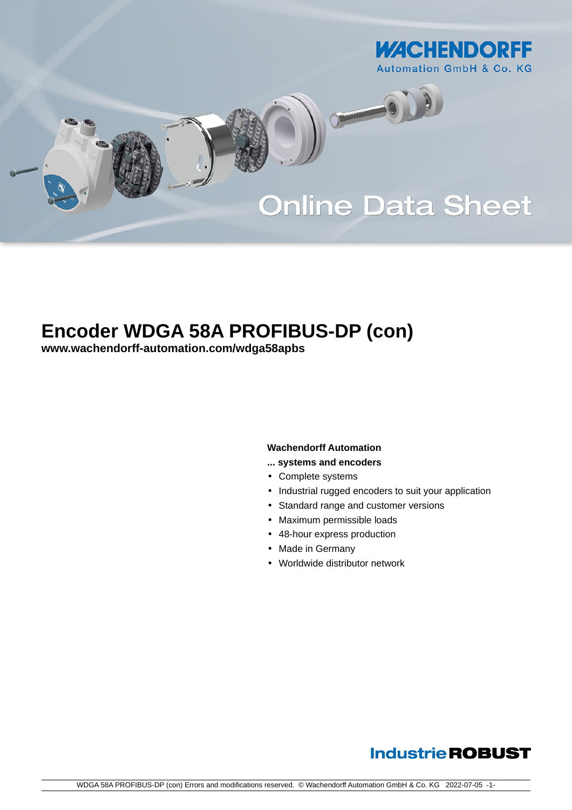

# **Encoder WDGA 58A PROFIBUS-DP (con)**

**[www.wachendorff-automation.com/wdga58apbs](https://www.wachendorff-automation.com/wdga58apbs)**

### **Wachendorff Automation**

- **... systems and encoders**
- Complete systems
- Industrial rugged encoders to suit your application
- Standard range and customer versions
- Maximum permissible loads
- 48-hour express production
- Made in Germany
- Worldwide distributor network

## **Industrie ROBUST**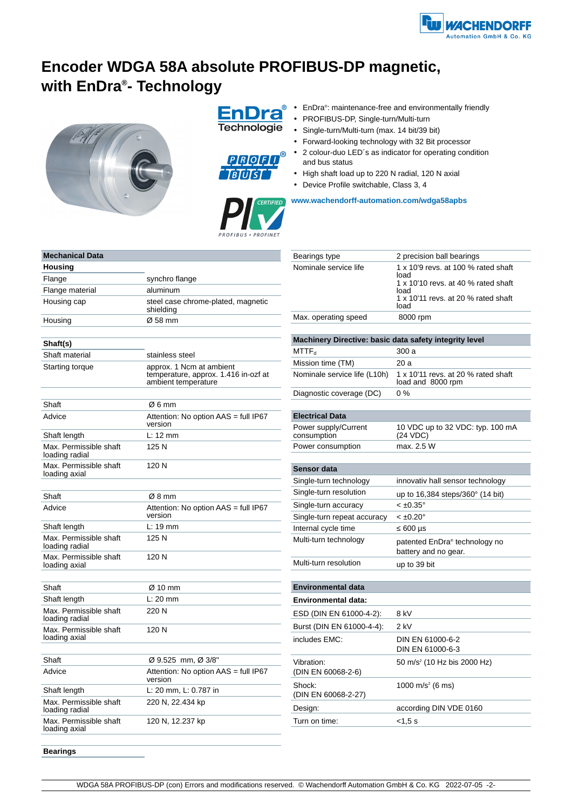

# **Encoder WDGA 58A absolute PROFIBUS-DP magnetic, with EnDra® - Technology**



**EnDra** Technologie



- EnDra<sup>®</sup>: maintenance-free and environmentally friendly
- PROFIBUS-DP, Single-turn/Multi-turn
- Single-turn/Multi-turn (max. 14 bit/39 bit)
- Forward-looking technology with 32 Bit processor
- 2 colour-duo LED´s as indicator for operating condition and bus status
- High shaft load up to 220 N radial, 120 N axial
- Device Profile switchable, Class 3, 4



| Bearings type         | 2 precision ball bearings                                                                                                                 |
|-----------------------|-------------------------------------------------------------------------------------------------------------------------------------------|
| Nominale service life | 1 x 10'9 revs. at 100 % rated shaft<br>load<br>1 x 10'10 revs. at 40 % rated shaft<br>load<br>1 x 10'11 revs. at 20 % rated shaft<br>load |
|                       |                                                                                                                                           |

Max. operating speed 8000 rpm

| Machinery Directive: basic data safety integrity level |                                                                   |
|--------------------------------------------------------|-------------------------------------------------------------------|
| MTTF <sub>d</sub>                                      | 300a                                                              |
| Mission time (TM)                                      | 20 a                                                              |
| Nominale service life (L10h)                           | 1 x 10'11 revs. at 20 % rated shaft<br>load and 8000 rpm          |
| Diagnostic coverage (DC)                               | $0\%$                                                             |
|                                                        |                                                                   |
| <b>Electrical Data</b>                                 |                                                                   |
| Power supply/Current<br>consumption                    | 10 VDC up to 32 VDC: typ. 100 mA<br>(24 VDC)                      |
| Power consumption                                      | max. 2.5 W                                                        |
| Sensor data                                            |                                                                   |
| Single-turn technology                                 | innovativ hall sensor technology                                  |
| Single-turn resolution                                 | up to 16,384 steps/360° (14 bit)                                  |
| Single-turn accuracy                                   | $< \pm 0.35^{\circ}$                                              |
| Single-turn repeat accuracy                            | $< \pm 0.20^{\circ}$                                              |
| Internal cycle time                                    | $600 \mu s$                                                       |
| Multi-turn technology                                  | patented EnDra <sup>®</sup> technology no<br>battery and no gear. |
| Multi-turn resolution                                  | up to 39 bit                                                      |
| <b>Environmental data</b>                              |                                                                   |
|                                                        |                                                                   |
| Environmental data:                                    |                                                                   |
| ESD (DIN EN 61000-4-2):                                | 8 kV                                                              |
| Burst (DIN EN 61000-4-4):                              | $2$ kV                                                            |
| includes EMC:                                          | DIN EN 61000-6-2<br>DIN EN 61000-6-3                              |
| Vibration:<br>(DIN EN 60068-2-6)                       | 50 m/s <sup>2</sup> (10 Hz bis 2000 Hz)                           |
| Shock:<br>(DIN EN 60068-2-27)                          | 1000 m/s <sup>2</sup> (6 ms)                                      |
| Design:                                                | according DIN VDE 0160                                            |
| Turn on time:                                          | < 1.5 s                                                           |

| <b>Mechanical Data</b>                   |                                                                                         |
|------------------------------------------|-----------------------------------------------------------------------------------------|
| Housing                                  |                                                                                         |
| Flange                                   | synchro flange                                                                          |
| Flange material                          | aluminum                                                                                |
| Housing cap                              | steel case chrome-plated, magnetic<br>shielding                                         |
| Housing                                  | Ø 58 mm                                                                                 |
|                                          |                                                                                         |
| Shaft(s)                                 |                                                                                         |
| Shaft material                           | stainless steel                                                                         |
| Starting torque                          | approx. 1 Ncm at ambient<br>temperature, approx. 1.416 in-ozf at<br>ambient temperature |
|                                          |                                                                                         |
| Shaft                                    | Ø6 mm                                                                                   |
| Advice                                   | Attention: No option AAS = full IP67<br>version                                         |
| Shaft length                             | L: 12 mm                                                                                |
| Max. Permissible shaft<br>loading radial | 125 N                                                                                   |
| Max. Permissible shaft<br>loading axial  | 120 N                                                                                   |
|                                          |                                                                                         |
| Shaft                                    | Ø8 mm                                                                                   |
| Advice                                   | Attention: No option AAS = full IP67<br>version                                         |
| Shaft length                             | L: 19 mm                                                                                |
| Max. Permissible shaft<br>loading radial | 125 N                                                                                   |
| Max. Permissible shaft<br>loading axial  | 120 N                                                                                   |
|                                          |                                                                                         |
| Shaft                                    | Ø 10 mm                                                                                 |
| Shaft length                             | $L: 20$ mm                                                                              |
| Max. Permissible shaft<br>loading radial | 220 N                                                                                   |
| Max. Permissible shaft<br>loading axial  | 120 N                                                                                   |
|                                          |                                                                                         |
| Shaft                                    | Ø 9.525 mm, Ø 3/8"                                                                      |
| Advice                                   | Attention: No option AAS = full IP67<br>version                                         |
| Shaft length                             | L: 20 mm, L: 0.787 in                                                                   |
| Max. Permissible shaft<br>loading radial | 220 N, 22.434 kp                                                                        |
| Max. Permissible shaft<br>loading axial  | 120 N, 12.237 kp                                                                        |

**Bearings**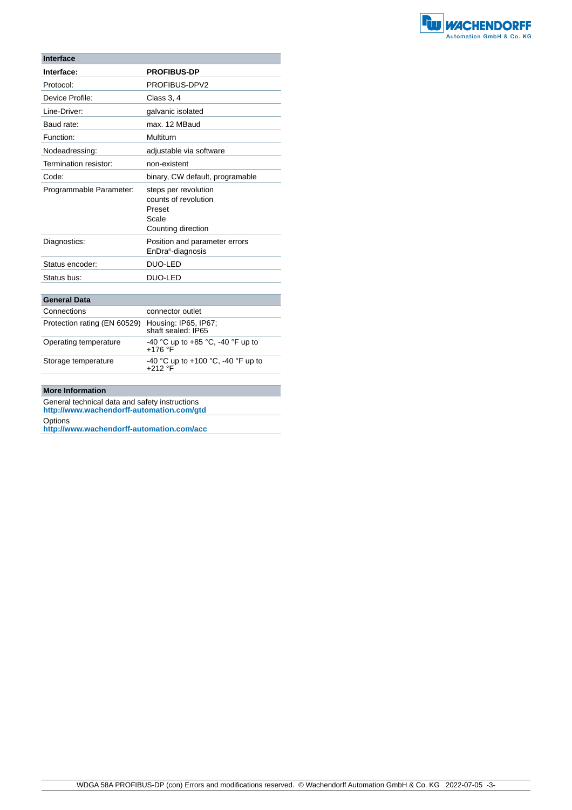

| <b>Interface</b>                                          |                                                                                       |
|-----------------------------------------------------------|---------------------------------------------------------------------------------------|
| Interface:                                                | <b>PROFIBUS-DP</b>                                                                    |
| Protocol:                                                 | PROFIBUS-DPV2                                                                         |
| Device Profile:                                           | Class 3, 4                                                                            |
| Line-Driver:                                              | galvanic isolated                                                                     |
| Baud rate:                                                | max. 12 MBaud                                                                         |
| Function:                                                 | Multiturn                                                                             |
| Nodeadressing:                                            | adjustable via software                                                               |
| Termination resistor:                                     | non-existent                                                                          |
| Code:                                                     | binary, CW default, programable                                                       |
| Programmable Parameter:                                   | steps per revolution<br>counts of revolution<br>Preset<br>Scale<br>Counting direction |
| Diagnostics:                                              | Position and parameter errors<br>EnDra <sup>®</sup> -diagnosis                        |
| Status encoder:                                           | <b>DUO-LED</b>                                                                        |
| Status bus:                                               | DUO-LED                                                                               |
| <b>General Data</b>                                       |                                                                                       |
| Connections                                               | connector outlet                                                                      |
| $Draton'ion to the a (FNI COR20) - Llovalian DCE - IDRZ.$ |                                                                                       |

| Protection rating (EN 60529) | Housing: IP65, IP67;<br>shaft sealed: IP65      |
|------------------------------|-------------------------------------------------|
| Operating temperature        | -40 °C up to +85 °C, -40 °F up to<br>$+176$ °F  |
| Storage temperature          | -40 °C up to +100 °C, -40 °F up to<br>$+212$ °F |

#### **More Information**

General technical data and safety instructions **http://www.wachendorff-automation.com/gtd**

Options

**http://www.wachendorff-automation.com/acc**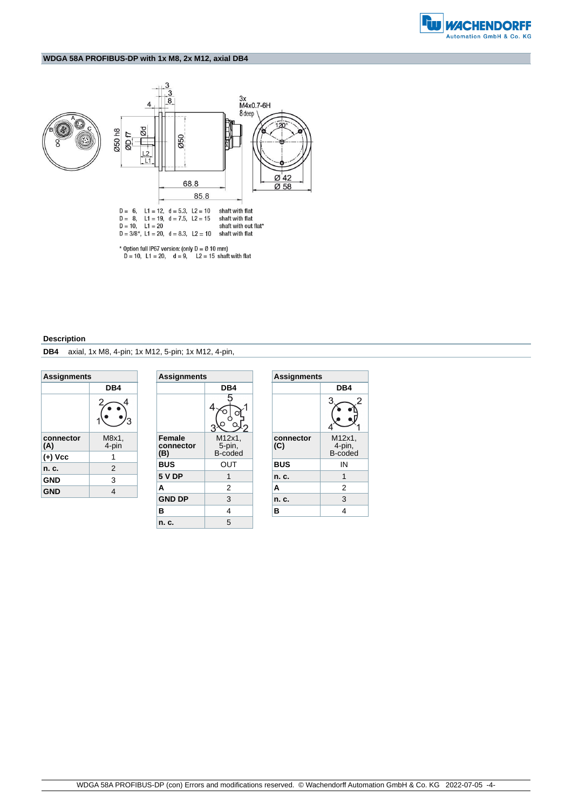

#### **WDGA 58A PROFIBUS-DP with 1x M8, 2x M12, axial DB4**



#### **Description**

**DB4** axial, 1x M8, 4-pin; 1x M12, 5-pin; 1x M12, 4-pin,

| <b>Assignments</b> |                |  |
|--------------------|----------------|--|
|                    | DB4            |  |
|                    | 2              |  |
| connector<br>(A)   | M8x1.<br>4-pin |  |
| (+) Vcc            | 1              |  |
| n. c.              | 2              |  |
| <b>GND</b>         | 3              |  |
| <b>GND</b>         | 4              |  |

| <b>Assignments</b>                |                             |
|-----------------------------------|-----------------------------|
|                                   | DB4                         |
|                                   | 5                           |
| <b>Female</b><br>connector<br>(B) | M12x1.<br>5-pin,<br>B-coded |
| <b>BUS</b>                        | OUT                         |
| <b>5 V DP</b>                     | 1                           |
| A                                 | 2                           |
| <b>GND DP</b>                     | 3                           |
| в                                 | 4                           |
| n. c.                             | 5                           |

| <b>Assignments</b> |                             |  |
|--------------------|-----------------------------|--|
|                    | DB4                         |  |
|                    | 3<br>2                      |  |
| connector<br>(C)   | M12x1.<br>4-pin,<br>B-coded |  |
| <b>BUS</b>         | ΙN                          |  |
| n. c.              | 1                           |  |
| A                  | 2                           |  |
| n. c.              | 3                           |  |
| в                  | 4                           |  |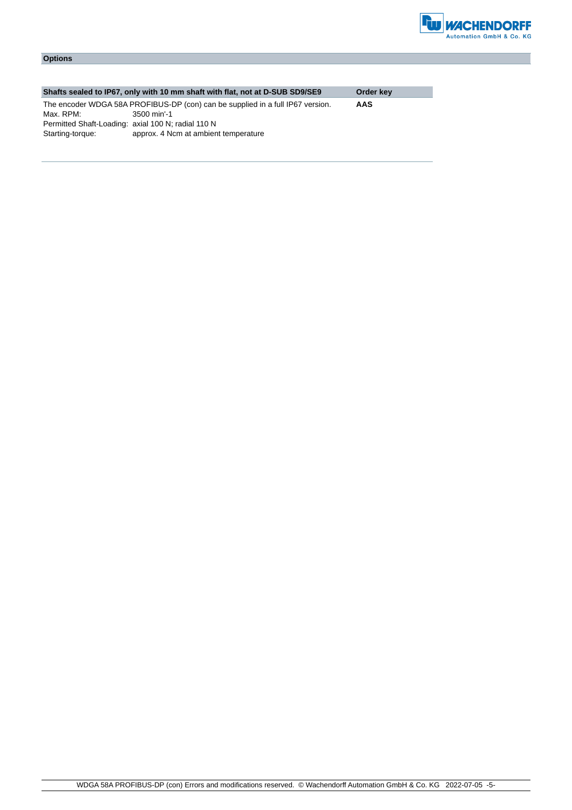

### **Options**

|                                                    | Shafts sealed to IP67, only with 10 mm shaft with flat, not at D-SUB SD9/SE9   | Order key |
|----------------------------------------------------|--------------------------------------------------------------------------------|-----------|
|                                                    | The encoder WDGA 58A PROFIBUS-DP (con) can be supplied in a full IP67 version. | AAS       |
| Max. RPM:                                          | 3500 min'-1                                                                    |           |
| Permitted Shaft-Loading: axial 100 N; radial 110 N |                                                                                |           |
| Starting-torque:                                   | approx. 4 Ncm at ambient temperature                                           |           |
|                                                    |                                                                                |           |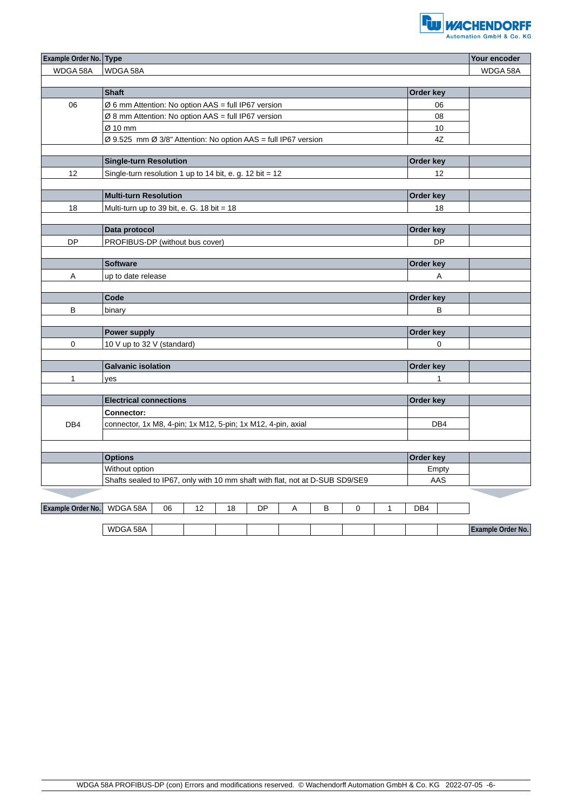

| <b>Example Order No. Type</b> |                                                                              |              | Your encoder      |
|-------------------------------|------------------------------------------------------------------------------|--------------|-------------------|
| WDGA 58A                      | WDGA 58A                                                                     |              | WDGA 58A          |
|                               |                                                                              |              |                   |
|                               | <b>Shaft</b>                                                                 | Order key    |                   |
| 06                            | $\varnothing$ 6 mm Attention: No option AAS = full IP67 version              | 06           |                   |
|                               | Ø 8 mm Attention: No option AAS = full IP67 version                          | 08           |                   |
|                               | Ø 10 mm                                                                      | 10           |                   |
|                               | Ø 9.525 mm Ø 3/8" Attention: No option AAS = full IP67 version               | 4Z           |                   |
|                               |                                                                              |              |                   |
|                               | <b>Single-turn Resolution</b>                                                | Order key    |                   |
| 12                            | Single-turn resolution 1 up to 14 bit, e. g. 12 bit = 12                     | 12           |                   |
|                               |                                                                              |              |                   |
|                               | <b>Multi-turn Resolution</b>                                                 | Order key    |                   |
| 18                            | Multi-turn up to 39 bit, e. G. 18 bit = 18                                   | 18           |                   |
|                               |                                                                              |              |                   |
|                               | Data protocol                                                                | Order key    |                   |
| <b>DP</b>                     | PROFIBUS-DP (without bus cover)                                              | <b>DP</b>    |                   |
|                               |                                                                              |              |                   |
|                               | <b>Software</b>                                                              | Order key    |                   |
| Α                             | up to date release                                                           | Α            |                   |
|                               |                                                                              |              |                   |
|                               | Code                                                                         | Order key    |                   |
| В                             | binary                                                                       | B            |                   |
|                               |                                                                              |              |                   |
|                               | Power supply                                                                 | Order key    |                   |
| $\mathbf 0$                   | 10 V up to 32 V (standard)                                                   | $\mathbf 0$  |                   |
|                               |                                                                              |              |                   |
|                               | <b>Galvanic isolation</b>                                                    | Order key    |                   |
| 1                             | yes                                                                          | $\mathbf{1}$ |                   |
|                               |                                                                              |              |                   |
|                               | <b>Electrical connections</b>                                                | Order key    |                   |
|                               | <b>Connector:</b>                                                            |              |                   |
| DB4                           | connector, 1x M8, 4-pin; 1x M12, 5-pin; 1x M12, 4-pin, axial                 | DB4          |                   |
|                               |                                                                              |              |                   |
|                               |                                                                              |              |                   |
|                               | <b>Options</b>                                                               | Order key    |                   |
|                               | Without option                                                               |              |                   |
|                               | Shafts sealed to IP67, only with 10 mm shaft with flat, not at D-SUB SD9/SE9 | AAS          |                   |
|                               |                                                                              |              |                   |
| Example Order No. WDGA 58A    | 12<br>06<br>18<br>DP<br>Α<br>В<br>0<br>$\mathbf{1}$                          | DB4          |                   |
|                               |                                                                              |              |                   |
|                               | WDGA 58A                                                                     |              | Example Order No. |
|                               |                                                                              |              |                   |